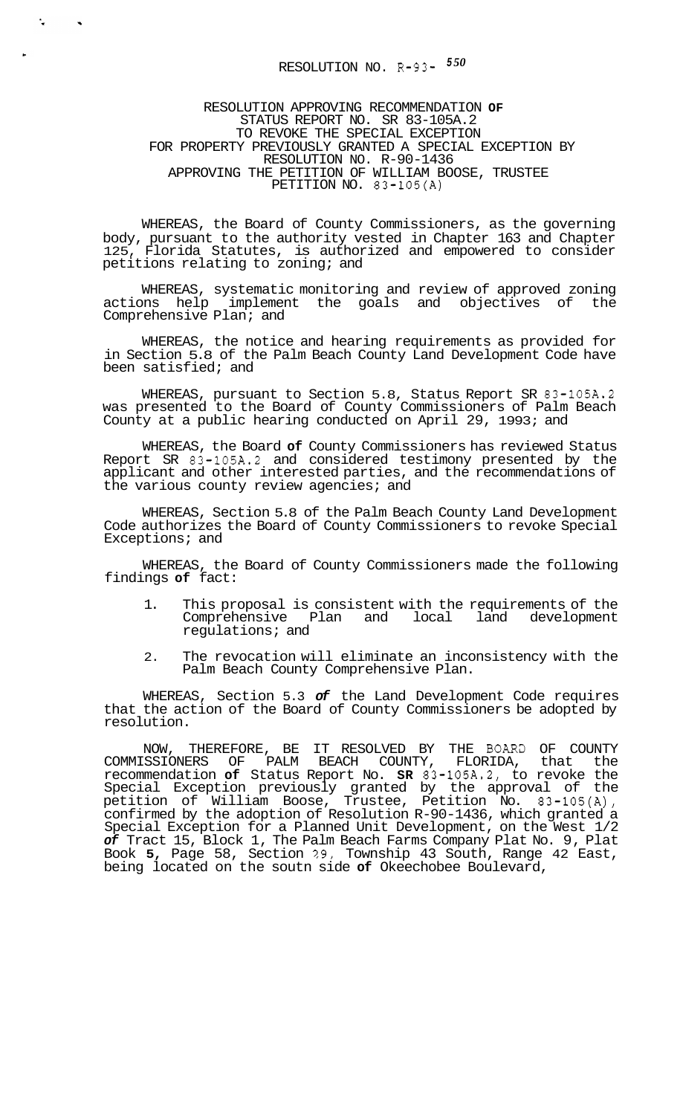## RESOLUTION NO. R-93- *<sup>5</sup><sup>50</sup>*

 $\frac{1}{\sqrt{2}}$ 

 $\blacktriangleleft$ 

## RESOLUTION APPROVING RECOMMENDATION **OF**  STATUS REPORT NO. SR 83-105A.2 TO REVOKE THE SPECIAL EXCEPTION FOR PROPERTY PREVIOUSLY GRANTED A SPECIAL EXCEPTION BY RESOLUTION NO. R-90-1436 APPROVING THE PETITION OF WILLIAM BOOSE, TRUSTEE PETITION NO. 83-105(A)

WHEREAS, the Board of County Commissioners, as the governing body, pursuant to the authority vested in Chapter 163 and Chapter 125, Florida Statutes, is authorized and empowered to consider petitions relating to zoning; and

WHEREAS, systematic monitoring and review of approved zoning actions help implement the goals and objectives of the Comprehensive Plan; and

WHEREAS, the notice and hearing requirements as provided for in Section 5.8 of the Palm Beach County Land Development Code have been satisfied; and

WHEREAS, pursuant to Section 5.8, Status Report SR 83-105A.2 was presented to the Board of County Commissioners of Palm Beach County at a public hearing conducted on April 29, 1993; and

WHEREAS, the Board **of** County Commissioners has reviewed Status Report SR 83-105A.2 and considered testimony presented by the applicant and other interested parties, and the recommendations of the various county review agencies; and

WHEREAS, Section 5.8 of the Palm Beach County Land Development Code authorizes the Board of County Commissioners to revoke Special Exceptions; and

WHEREAS, the Board of County Commissioners made the following findings **of** fact:

- 1. This proposal is consistent with the requirements of the Comprehensive Plan and local land development regulations; and
- 2. The revocation will eliminate an inconsistency with the Palm Beach County Comprehensive Plan.

WHEREAS, Section 5.3 *of* the Land Development Code requires that the action of the Board of County Commissioners be adopted by resolution.

NOW, THEREFORE, BE IT RESOLVED BY THE BOAR2 OF COUNTY COMMISSIONERS OF PALM BEACH COUNTY, FLORIDA, that the recommendation **of** Status Report No. **SR** 83-105A.2, to revoke the Special Exception previously granted by the approval of the petition of William Boose, Trustee, Petition No. 83-105(A), confirmed by the adoption of Resolution R-90-1436, which granted a Special Exception for a Planned Unit Development, on the West 1/2 *of* Tract 15, Block 1, The Palm Beach Farms Company Plat No. 9, Plat Book **5,** Page 58, Section **29,** Township 43 South, Range 42 East, being located on the soutn side **of** Okeechobee Boulevard,